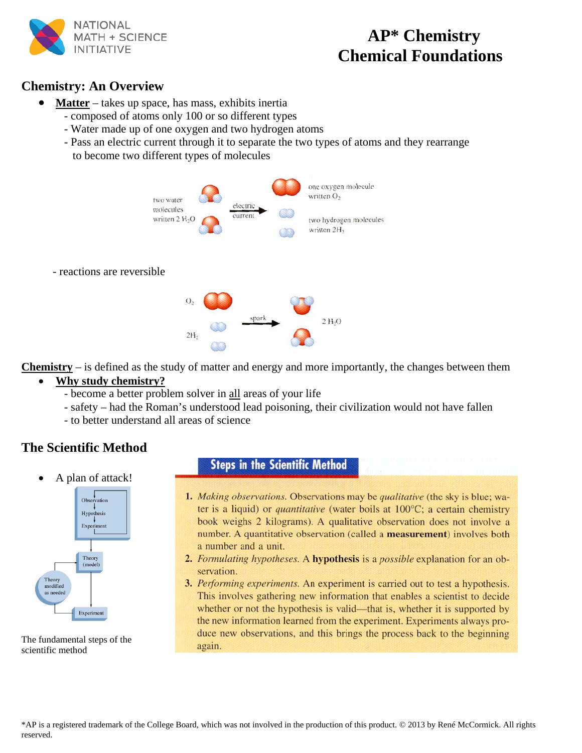

# **AP\* Chemistry** INITIATIVE **Chemical Foundations**

# **Chemistry: An Overview**

- **Matter** takes up space, has mass, exhibits inertia
	- composed of atoms only 100 or so different types
	- Water made up of one oxygen and two hydrogen atoms
	- Pass an electric current through it to separate the two types of atoms and they rearrange to become two different types of molecules



- reactions are reversible



**Chemistry** – is defined as the study of matter and energy and more importantly, the changes between them

# • **Why study chemistry?**

- become a better problem solver in all areas of your life
- safety had the Roman's understood lead poisoning, their civilization would not have fallen
- to better understand all areas of science

# **The Scientific Method**

• A plan of attack!



The fundamental steps of the scientific method

# **Steps in the Scientific Method**

- 1. Making observations. Observations may be qualitative (the sky is blue; water is a liquid) or *quantitative* (water boils at 100°C; a certain chemistry book weighs 2 kilograms). A qualitative observation does not involve a number. A quantitative observation (called a measurement) involves both a number and a unit.
- 2. Formulating hypotheses. A hypothesis is a possible explanation for an observation.
- 3. Performing experiments. An experiment is carried out to test a hypothesis. This involves gathering new information that enables a scientist to decide whether or not the hypothesis is valid—that is, whether it is supported by the new information learned from the experiment. Experiments always produce new observations, and this brings the process back to the beginning again.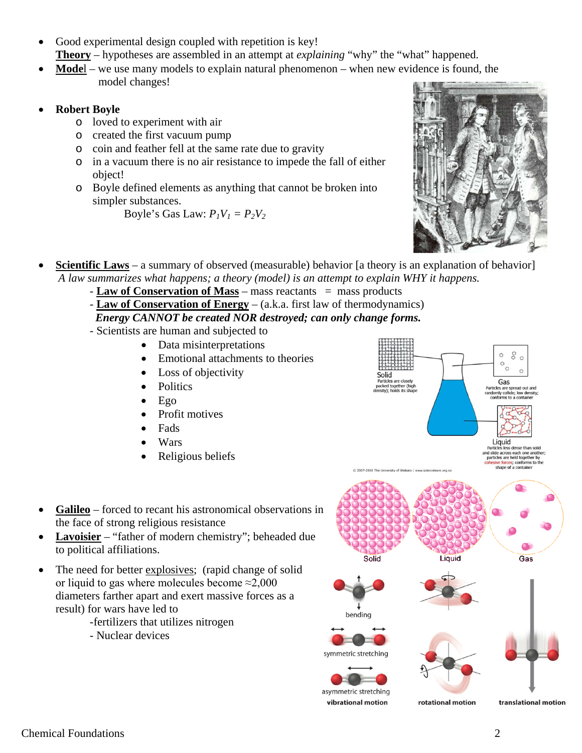- Good experimental design coupled with repetition is key! **Theory** – hypotheses are assembled in an attempt at *explaining* "why" the "what" happened.
- **Mode**l we use many models to explain natural phenomenon when new evidence is found, the model changes!
- **Robert Boyle**
	- o loved to experiment with air
	- o created the first vacuum pump
	- o coin and feather fell at the same rate due to gravity
	- o in a vacuum there is no air resistance to impede the fall of either object!
	- o Boyle defined elements as anything that cannot be broken into simpler substances.

Boyle's Gas Law:  $P_1V_1 = P_2V_2$ 



- **<u>Scientific Laws</u>** a summary of observed (measurable) behavior [a theory is an explanation of behavior]  *A law summarizes what happens; a theory (model) is an attempt to explain WHY it happens.*
	- **Law of Conservation of Mass** mass reactants = mass products
	- **Law of Conservation of Energy** (a.k.a. first law of thermodynamics)

#### *Energy CANNOT be created NOR destroyed; can only change forms.*

- Scientists are human and subjected to
	- Data misinterpretations
	- Emotional attachments to theories
	- Loss of objectivity
	- **Politics**
	- Ego
	- Profit motives
	- Fads
	- Wars
	- Religious beliefs
- Galileo forced to recant his astronomical observations in the face of strong religious resistance
- **Lavoisier** "father of modern chemistry"; beheaded due to political affiliations.
- The need for better explosives; (rapid change of solid or liquid to gas where molecules become ≈2,000 diameters farther apart and exert massive forces as a result) for wars have led to
	- -fertilizers that utilizes nitrogen
	- Nuclear devices

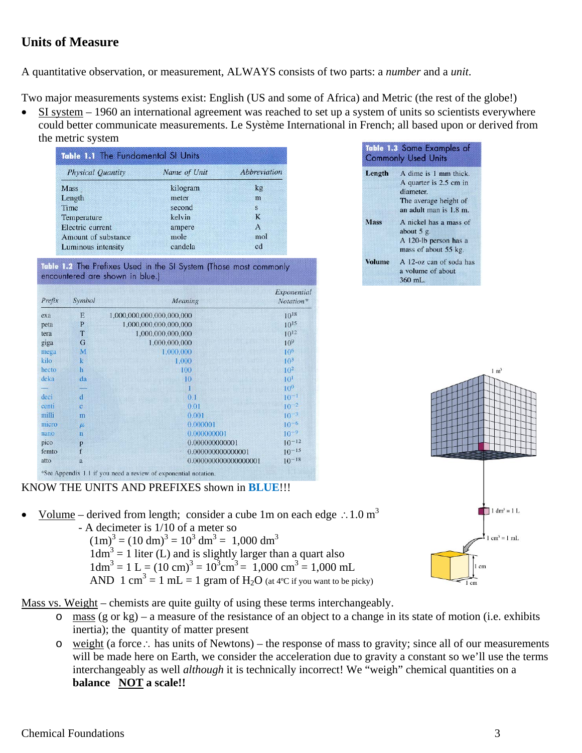# **Units of Measure**

A quantitative observation, or measurement, ALWAYS consists of two parts: a *number* and a *unit*.

Two major measurements systems exist: English (US and some of Africa) and Metric (the rest of the globe!)

• SI system – 1960 an international agreement was reached to set up a system of units so scientists everywhere could better communicate measurements. Le Système International in French; all based upon or derived from the metric system Table 1.3 Some Examples of

| <b>Physical Quantity</b> | Name of Unit | <i><b>Abbreviation</b></i> |
|--------------------------|--------------|----------------------------|
| <b>Mass</b>              | kilogram     | kg                         |
| Length                   | meter        | m                          |
| Time                     | second       | s                          |
| Temperature              | kelvin       | K                          |
| Electric current         | ampere       | $\mathbf{A}$               |
| Amount of substance      | mole         | mol                        |
| Luminous intensity       | candela      | cd                         |



| Prefix | Symbol                  | Meaning                   | Exponential<br>Notation* |
|--------|-------------------------|---------------------------|--------------------------|
| exa    | E                       | 1,000,000,000,000,000,000 | $10^{18}$                |
| peta   | P                       | 1,000,000,000,000,000     | $10^{15}$                |
| tera   | T                       | 1,000,000,000,000         | $10^{12}$                |
| giga   | G                       | 1,000,000,000             | 10 <sup>9</sup>          |
| mega   | M                       | 1.000,000                 | 10 <sup>6</sup>          |
| kilo   | $\mathbf k$             | 1.000                     | $10^3$                   |
| hecto  | $\mathbf{h}$            | 100                       | $10^{2}$                 |
| deka   | da                      | 10                        | 10 <sup>1</sup>          |
|        |                         | Т                         | 10 <sup>0</sup>          |
| deci   | d                       | 0.1                       | $10^{-1}$                |
| centi  | ċ                       | 0.01                      | $10^{-2}$                |
| milli  | m                       | 0.001                     | $10^{-3}$                |
| micro  | $\mu$                   | 0.000001                  | $10^{-6}$                |
| nano   | $\overline{\mathbf{n}}$ | 0.000000001               | $10^{-9}$                |
| pico   | p                       | 0.000000000001            | $10^{-12}$               |
| femto  | f                       | 0.000000000000001         | $10^{-15}$               |
| atto   | a                       | 0.000000000000000001      | $10^{-18}$               |

KNOW THE UNITS AND PREFIXES shown in **BLUE**!!!

Volume – derived from length; consider a cube 1m on each edge ∴1.0 m<sup>3</sup>

 - A decimeter is 1/10 of a meter so  $(1m)^3 = (10 \text{ dm})^3 = 10^3 \text{ dm}^3 = 1,000 \text{ dm}^3$  $1dm<sup>3</sup> = 1$  liter (L) and is slightly larger than a quart also  $1 \text{dm}^3 = 1 \text{ L} = (10 \text{ cm})^3 = 10^3 \text{ cm}^3 = 1,000 \text{ cm}^3 = 1,000 \text{ mL}$ AND 1 cm<sup>3</sup> = 1 mL = 1 gram of H<sub>2</sub>O (at 4<sup>o</sup>C if you want to be picky)



**Commonly Used Units** 

diameter.

about  $5 g$ .

360 mL.

Length

**Mass** 

**Volume** 

A dime is 1 mm thick.

A quarter is 2.5 cm in

The average height of an adult man is 1.8 m. A nickel has a mass of

A 120-lb person has a mass of about 55 kg. A 12-oz can of soda has

a volume of about

Mass vs. Weight – chemists are quite guilty of using these terms interchangeably.

- o mass (g or kg) a measure of the resistance of an object to a change in its state of motion (i.e. exhibits inertia); the quantity of matter present
- o weight (a force∴ has units of Newtons) the response of mass to gravity; since all of our measurements will be made here on Earth, we consider the acceleration due to gravity a constant so we'll use the terms interchangeably as well *although* it is technically incorrect! We "weigh" chemical quantities on a **balance NOT a scale!!**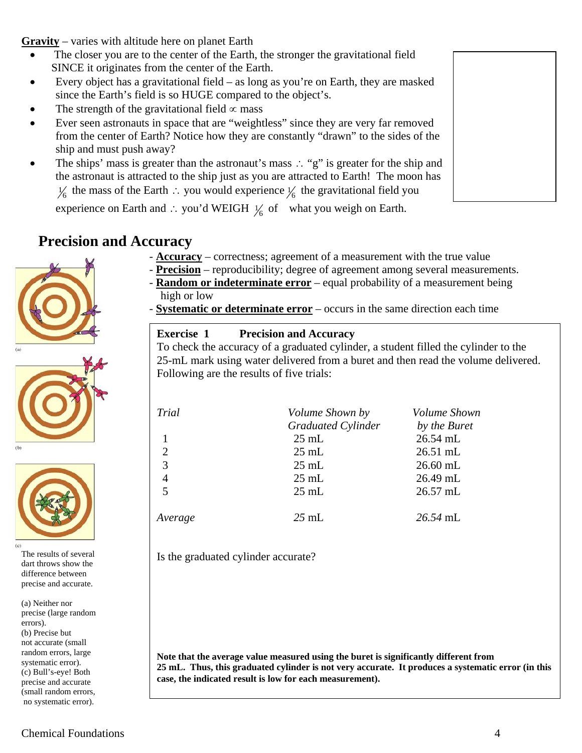**Gravity** – varies with altitude here on planet Earth

- The closer you are to the center of the Earth, the stronger the gravitational field SINCE it originates from the center of the Earth.
- Every object has a gravitational field as long as you're on Earth, they are masked since the Earth's field is so HUGE compared to the object's.
- The strength of the gravitational field  $\propto$  mass
- Ever seen astronauts in space that are "weightless" since they are very far removed from the center of Earth? Notice how they are constantly "drawn" to the sides of the ship and must push away?
- The ships' mass is greater than the astronaut's mass ∴ "g" is greater for the ship and the astronaut is attracted to the ship just as you are attracted to Earth! The moon has  $\frac{1}{6}$  the mass of the Earth ∴ you would experience  $\frac{1}{6}$  the gravitational field you

experience on Earth and ∴ you'd WEIGH  $\frac{1}{6}$  of what you weigh on Earth.

# **Precision and Accuracy**







The results of several dart throws show the difference between precise and accurate.

(a) Neither nor precise (large random errors). (b) Precise but not accurate (small random errors, large systematic error). (c) Bull's-eye! Both precise and accurate (small random errors, no systematic error).

- **Accuracy** – correctness; agreement of a measurement with the true value

- **Precision** reproducibility; degree of agreement among several measurements.
- **Random or indeterminate error** equal probability of a measurement being high or low
- **Systematic or determinate error** occurs in the same direction each time

#### **Exercise 1 Precision and Accuracy**  To check the accuracy of a graduated cylinder, a student filled the cylinder to the 25-mL mark using water delivered from a buret and then read the volume delivered. Following are the results of five trials:

| Trial          | Volume Shown by           | Volume Shown |
|----------------|---------------------------|--------------|
|                | <b>Graduated Cylinder</b> | by the Buret |
|                | $25 \text{ mL}$           | 26.54 mL     |
| $\overline{2}$ | $25 \text{ mL}$           | $26.51$ mL   |
| 3              | $25$ mL                   | $26.60$ mL   |
| $\overline{4}$ | $25 \text{ mL}$           | 26.49 mL     |
| 5              | $25 \text{ mL}$           | 26.57 mL     |
| Average        | $25 \text{ mL}$           | 26.54 mL     |

Is the graduated cylinder accurate?

**Note that the average value measured using the buret is significantly different from 25 mL. Thus, this graduated cylinder is not very accurate. It produces a systematic error (in this case, the indicated result is low for each measurement).**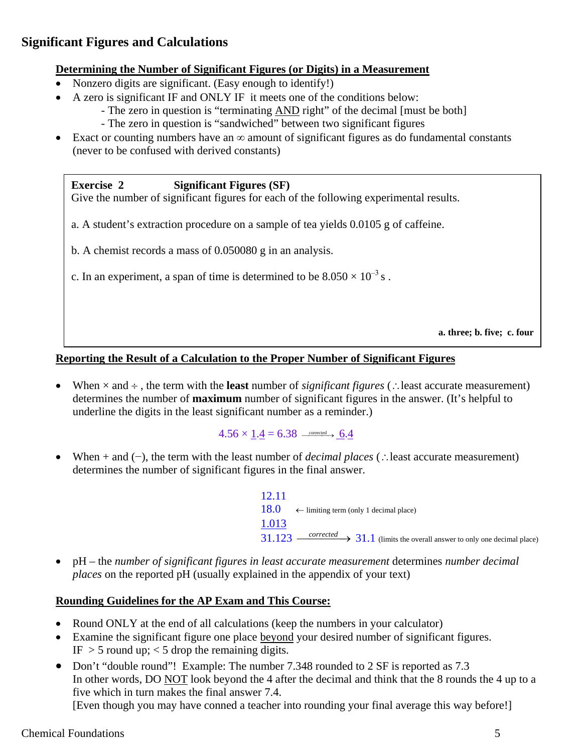# **Significant Figures and Calculations**

#### **Determining the Number of Significant Figures (or Digits) in a Measurement**

- Nonzero digits are significant. (Easy enough to identify!)
- A zero is significant IF and ONLY IF it meets one of the conditions below:
	- The zero in question is "terminating AND right" of the decimal [must be both]
	- The zero in question is "sandwiched" between two significant figures
- Exact or counting numbers have an ∞ amount of significant figures as do fundamental constants (never to be confused with derived constants)

**Exercise 2 Significant Figures (SF)** Give the number of significant figures for each of the following experimental results.

- a. A student's extraction procedure on a sample of tea yields 0.0105 g of caffeine.
- b. A chemist records a mass of 0.050080 g in an analysis.
- c. In an experiment, a span of time is determined to be  $8.050 \times 10^{-3}$  s.

**a. three; b. five; c. four**

#### **Reporting the Result of a Calculation to the Proper Number of Significant Figures**

• When × and ÷ , the term with the **least** number of *significant figures* (∴least accurate measurement) determines the number of **maximum** number of significant figures in the answer. (It's helpful to underline the digits in the least significant number as a reminder.)

 $4.56 \times 1.4 = 6.38$   $\longrightarrow 6.4$ 

• When + and (−), the term with the least number of *decimal places* (∴least accurate measurement) determines the number of significant figures in the final answer.

> 12.11 18.0  $\leftarrow$  limiting term (only 1 decimal place) 1.013  $31.123 \longrightarrow 31.1$  (limits the overall answer to only one decimal place)

• pH – the *number of significant figures in least accurate measurement* determines *number decimal places* on the reported pH (usually explained in the appendix of your text)

## **Rounding Guidelines for the AP Exam and This Course:**

- Round ONLY at the end of all calculations (keep the numbers in your calculator)
- Examine the significant figure one place beyond your desired number of significant figures. IF  $>$  5 round up;  $<$  5 drop the remaining digits.
- Don't "double round"! Example: The number 7.348 rounded to 2 SF is reported as 7.3 In other words, DO NOT look beyond the 4 after the decimal and think that the 8 rounds the 4 up to a five which in turn makes the final answer 7.4. [Even though you may have conned a teacher into rounding your final average this way before!]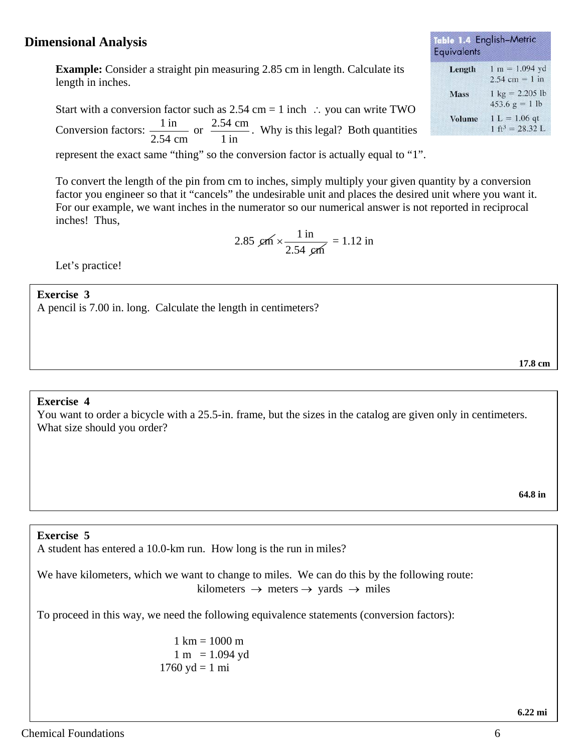## **Dimensional Analysis**

**Example:** Consider a straight pin measuring 2.85 cm in length. Calculate its length in inches.

Start with a conversion factor such as  $2.54$  cm = 1 inch : you can write TWO Conversion factors:  $\frac{1 \text{ in}}{2 \pi}$ 2.54 cm or  $\frac{2.54 \text{ cm}}{1 \text{ in}}$ . Why is this legal? Both quantities

represent the exact same "thing" so the conversion factor is actually equal to "1".

To convert the length of the pin from cm to inches, simply multiply your given quantity by a conversion factor you engineer so that it "cancels" the undesirable unit and places the desired unit where you want it. For our example, we want inches in the numerator so our numerical answer is not reported in reciprocal inches! Thus,

2.85 
$$
\text{cm} \times \frac{1 \text{ in}}{2.54 \text{ cm}} = 1.12 \text{ in}
$$

Let's practice!

#### **Exercise 3**

A pencil is 7.00 in. long. Calculate the length in centimeters?

#### **Exercise 4**

You want to order a bicycle with a 25.5-in. frame, but the sizes in the catalog are given only in centimeters. What size should you order?

#### **Exercise 5**

A student has entered a 10.0-km run. How long is the run in miles?

We have kilometers, which we want to change to miles. We can do this by the following route: kilometers  $\rightarrow$  meters  $\rightarrow$  yards  $\rightarrow$  miles

 **6.22 mi**

To proceed in this way, we need the following equivalence statements (conversion factors):

 $1 \text{ km} = 1000 \text{ m}$  $1 m = 1.094 yd$  $1760 \text{ yd} = 1 \text{ mi}$ 

| quivalents    |                                                                       |
|---------------|-----------------------------------------------------------------------|
| Length        | $1 m = 1.094 yd$<br>$2.54$ cm = 1 in                                  |
| <b>Mass</b>   | $1 \text{ kg} = 2.205 \text{ lb}$<br>$453.6 \text{ g} = 1 \text{ lb}$ |
| <b>Volume</b> | $1 L = 1.06$ qt<br>$1 + 3 = 20221$                                    |

this 1.4 Fnalish-Metric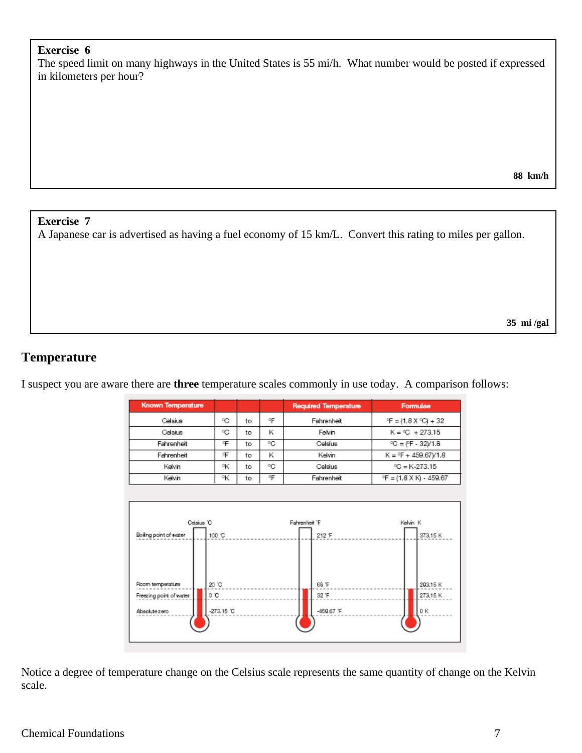### **Exercise 6**

The speed limit on many highways in the United States is 55 mi/h. What number would be posted if expressed in kilometers per hour?

**88 km/h**

#### **Exercise 7**

A Japanese car is advertised as having a fuel economy of 15 km/L. Convert this rating to miles per gallon.

**35 mi /gal**

# **Temperature**

I suspect you are aware there are **three** temperature scales commonly in use today. A comparison follows:



Notice a degree of temperature change on the Celsius scale represents the same quantity of change on the Kelvin scale.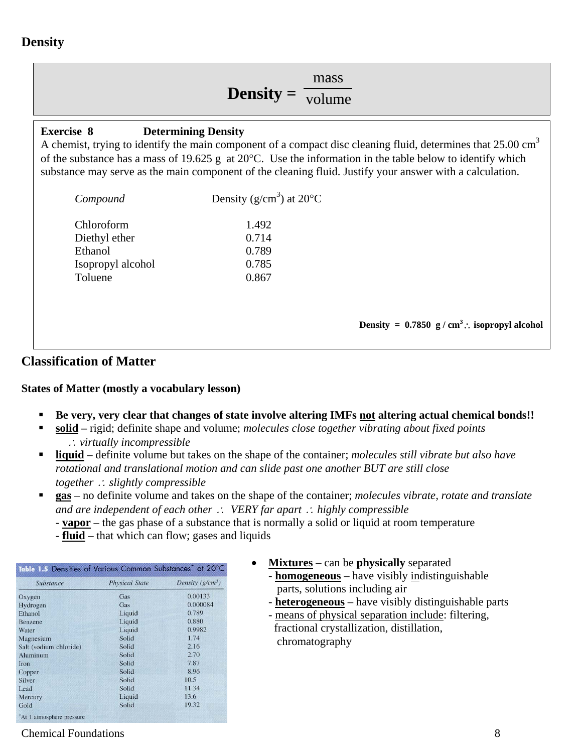# **Density**

# **Density =**  $\overline{\text{volume}}$ mass

#### **Exercise 8 Determining Density**

A chemist, trying to identify the main component of a compact disc cleaning fluid, determines that  $25.00 \text{ cm}^3$ of the substance has a mass of 19.625 g at 20°C. Use the information in the table below to identify which substance may serve as the main component of the cleaning fluid. Justify your answer with a calculation.

| Compound          | Density ( $g/cm3$ ) at 20 $^{\circ}$ C |                                                       |
|-------------------|----------------------------------------|-------------------------------------------------------|
| Chloroform        | 1.492                                  |                                                       |
| Diethyl ether     | 0.714                                  |                                                       |
| Ethanol           | 0.789                                  |                                                       |
| Isopropyl alcohol | 0.785                                  |                                                       |
| Toluene           | 0.867                                  |                                                       |
|                   |                                        |                                                       |
|                   |                                        |                                                       |
|                   |                                        | Density = $0.7850 \text{ g/cm}^3$ . isopropyl alcohol |
|                   |                                        |                                                       |

## **Classification of Matter**

#### **States of Matter (mostly a vocabulary lesson)**

- **Be very, very clear that changes of state involve altering IMFs not altering actual chemical bonds!!**
- **solid –** rigid; definite shape and volume; *molecules close together vibrating about fixed points* <sup>∴</sup> *virtually incompressible*
- **liquid** definite volume but takes on the shape of the container; *molecules still vibrate but also have rotational and translational motion and can slide past one another BUT are still close together* <sup>∴</sup> *slightly compressible*
- **gas** no definite volume and takes on the shape of the container; *molecules vibrate, rotate and translate and are independent of each other* ∴ *VERY far apart* <sup>∴</sup> *highly compressible*
	- **vapor** the gas phase of a substance that is normally a solid or liquid at room temperature
	- **fluid** that which can flow; gases and liquids

| Substance              | <b>Physical State</b> | Density $(g/cm^3)$ |
|------------------------|-----------------------|--------------------|
| Oxygen                 | Gas                   | 0.00133            |
| Hydrogen               | Gas                   | 0.000084           |
| Ethanol                | Liquid                | 0.789              |
| Benzene                | Liquid                | 0.880              |
| Water                  | Liquid                | 0.9982             |
| Magnesium              | Solid                 | 1.74               |
| Salt (sodium chloride) | Solid                 | 2.16               |
| Aluminum               | Solid                 | 2.70               |
| Iron                   | Solid                 | 7.87               |
| Copper                 | Solid                 | 8.96               |
| Silver                 | Solid                 | 10.5               |
| Lead                   | Solid                 | 11.34              |
| Mercury                | Liquid                | 13.6               |
| Gold                   | Solid                 | 19.32              |

- **Mixtures** can be **physically** separated
	- **homogeneous** have visibly indistinguishable parts, solutions including air
	- **heterogeneous** have visibly distinguishable parts
	- means of physical separation include: filtering, fractional crystallization, distillation, chromatography